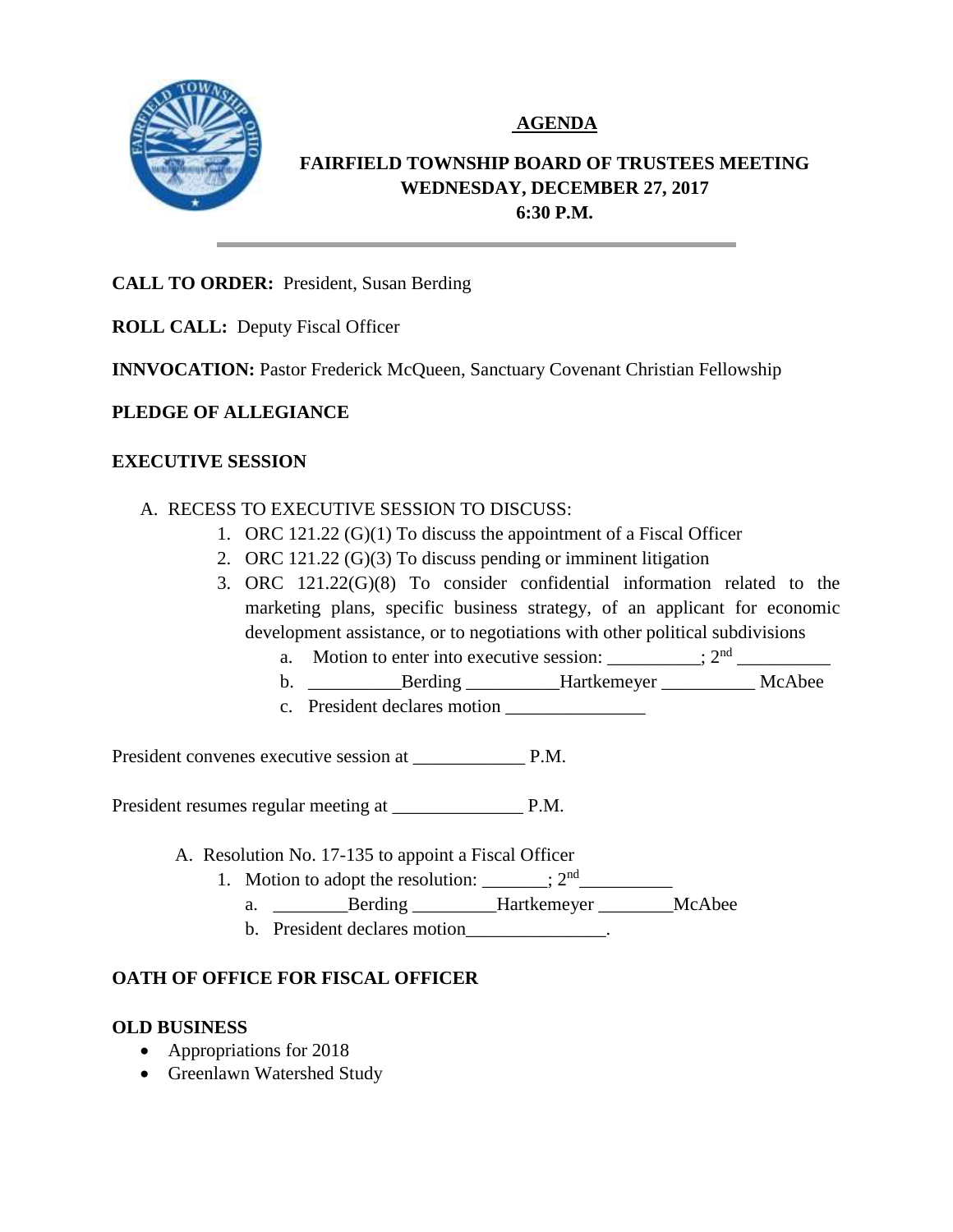

# **AGENDA**

# **FAIRFIELD TOWNSHIP BOARD OF TRUSTEES MEETING WEDNESDAY, DECEMBER 27, 2017 6:30 P.M.**

## **CALL TO ORDER:** President, Susan Berding

**ROLL CALL:** Deputy Fiscal Officer

**INNVOCATION:** Pastor Frederick McQueen, Sanctuary Covenant Christian Fellowship

## **PLEDGE OF ALLEGIANCE**

## **EXECUTIVE SESSION**

- A. RECESS TO EXECUTIVE SESSION TO DISCUSS:
	- 1. ORC 121.22 (G)(1) To discuss the appointment of a Fiscal Officer
	- 2. ORC 121.22 (G)(3) To discuss pending or imminent litigation
	- 3. ORC 121.22(G)(8) To consider confidential information related to the marketing plans, specific business strategy, of an applicant for economic development assistance, or to negotiations with other political subdivisions
		- a. Motion to enter into executive session:  $\frac{1}{2}$   $\frac{1}{2}$   $\frac{1}{2}$   $\frac{1}{2}$   $\frac{1}{2}$   $\frac{1}{2}$   $\frac{1}{2}$   $\frac{1}{2}$   $\frac{1}{2}$   $\frac{1}{2}$   $\frac{1}{2}$   $\frac{1}{2}$   $\frac{1}{2}$   $\frac{1}{2}$   $\frac{1}{2}$   $\frac{1}{2}$   $\frac{1}{2}$   $\frac{1}{2}$
		- b. \_\_\_\_\_\_\_\_\_\_Berding \_\_\_\_\_\_\_\_\_\_Hartkemeyer \_\_\_\_\_\_\_\_\_\_ McAbee
		- c. President declares motion \_\_\_\_\_\_\_\_\_\_\_\_\_\_\_

President convenes executive session at \_\_\_\_\_\_\_\_\_\_\_\_ P.M.

President resumes regular meeting at \_\_\_\_\_\_\_\_\_\_\_\_\_\_ P.M.

- A. Resolution No. 17-135 to appoint a Fiscal Officer
	- 1. Motion to adopt the resolution:  $\frac{1}{2^{nd}}$ 
		- a. \_\_\_\_\_\_\_\_Berding \_\_\_\_\_\_\_\_\_Hartkemeyer \_\_\_\_\_\_\_\_McAbee
		- b. President declares motion example.

# **OATH OF OFFICE FOR FISCAL OFFICER**

## **OLD BUSINESS**

- Appropriations for 2018
- Greenlawn Watershed Study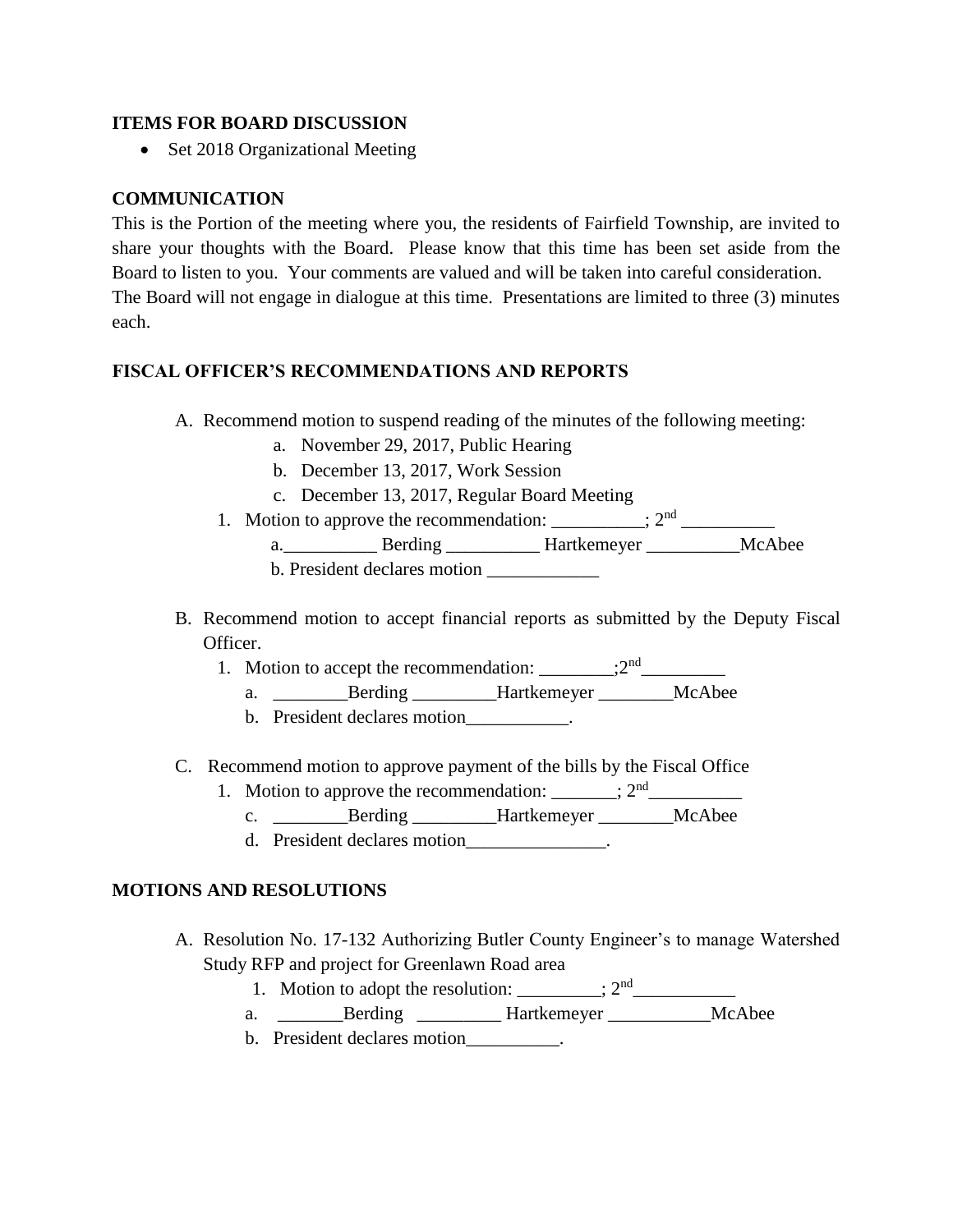#### **ITEMS FOR BOARD DISCUSSION**

• Set 2018 Organizational Meeting

## **COMMUNICATION**

This is the Portion of the meeting where you, the residents of Fairfield Township, are invited to share your thoughts with the Board. Please know that this time has been set aside from the Board to listen to you. Your comments are valued and will be taken into careful consideration. The Board will not engage in dialogue at this time. Presentations are limited to three (3) minutes each.

## **FISCAL OFFICER'S RECOMMENDATIONS AND REPORTS**

- A. Recommend motion to suspend reading of the minutes of the following meeting:
	- a. November 29, 2017, Public Hearing
	- b. December 13, 2017, Work Session
	- c. December 13, 2017, Regular Board Meeting
	- 1. Motion to approve the recommendation:  $\frac{1}{2^{nd}}$ 
		- a. \_\_\_\_\_\_\_\_\_\_\_\_\_\_ Berding \_\_\_\_\_\_\_\_\_\_\_\_\_ Hartkemeyer \_\_\_\_\_\_\_\_\_\_\_\_\_\_ McAbee
		- b. President declares motion
- B. Recommend motion to accept financial reports as submitted by the Deputy Fiscal Officer.
	- 1. Motion to accept the recommendation:  $\frac{1}{2^{nd}}$ 
		- a. Berding Hartkemeyer McAbee
		- b. President declares motion .
- C. Recommend motion to approve payment of the bills by the Fiscal Office
	- 1. Motion to approve the recommendation:  $\frac{1}{2^{nd}}$ 
		- c. \_\_\_\_\_\_\_\_\_Berding \_\_\_\_\_\_\_\_Hartkemeyer \_\_\_\_\_\_\_\_McAbee
		- d. President declares motion\_\_\_\_\_\_\_\_\_\_\_\_\_\_\_.

## **MOTIONS AND RESOLUTIONS**

- A. Resolution No. 17-132 Authorizing Butler County Engineer's to manage Watershed Study RFP and project for Greenlawn Road area
	- 1. Motion to adopt the resolution:  $\frac{1}{2^{nd}}$
	- a. \_\_\_\_\_\_\_Berding \_\_\_\_\_\_\_\_\_Hartkemeyer \_\_\_\_\_\_\_\_\_\_\_McAbee
	- b. President declares motion .